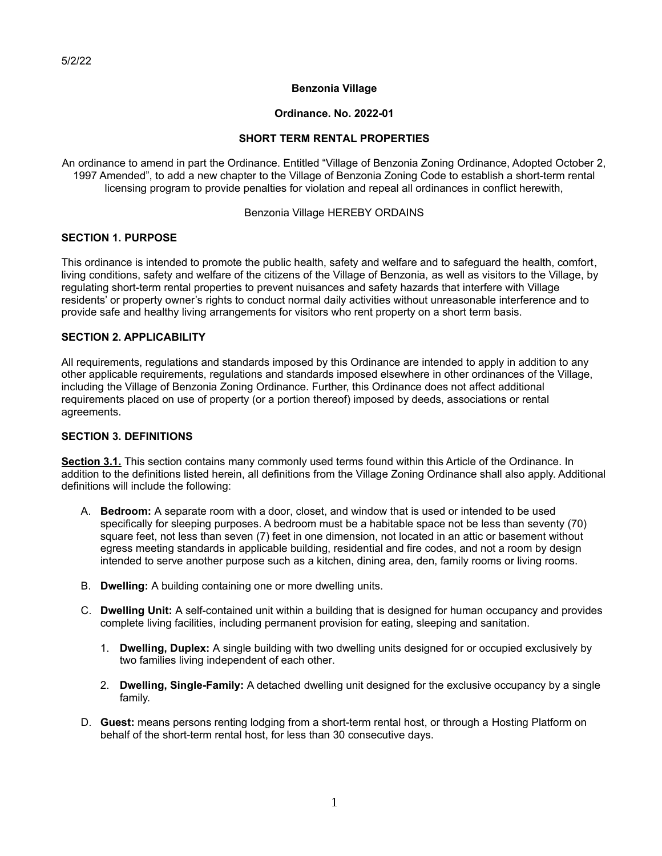### **Benzonia Village**

### **Ordinance. No. 2022-01**

### **SHORT TERM RENTAL PROPERTIES**

An ordinance to amend in part the Ordinance. Entitled "Village of Benzonia Zoning Ordinance, Adopted October 2, 1997 Amended", to add a new chapter to the Village of Benzonia Zoning Code to establish a short-term rental licensing program to provide penalties for violation and repeal all ordinances in conflict herewith,

#### Benzonia Village HEREBY ORDAINS

## **SECTION 1. PURPOSE**

This ordinance is intended to promote the public health, safety and welfare and to safeguard the health, comfort, living conditions, safety and welfare of the citizens of the Village of Benzonia, as well as visitors to the Village, by regulating short-term rental properties to prevent nuisances and safety hazards that interfere with Village residents' or property owner's rights to conduct normal daily activities without unreasonable interference and to provide safe and healthy living arrangements for visitors who rent property on a short term basis.

#### **SECTION 2. APPLICABILITY**

All requirements, regulations and standards imposed by this Ordinance are intended to apply in addition to any other applicable requirements, regulations and standards imposed elsewhere in other ordinances of the Village, including the Village of Benzonia Zoning Ordinance. Further, this Ordinance does not affect additional requirements placed on use of property (or a portion thereof) imposed by deeds, associations or rental agreements.

### **SECTION 3. DEFINITIONS**

**Section 3.1.** This section contains many commonly used terms found within this Article of the Ordinance. In addition to the definitions listed herein, all definitions from the Village Zoning Ordinance shall also apply. Additional definitions will include the following:

- A. **Bedroom:** A separate room with a door, closet, and window that is used or intended to be used specifically for sleeping purposes. A bedroom must be a habitable space not be less than seventy (70) square feet, not less than seven (7) feet in one dimension, not located in an attic or basement without egress meeting standards in applicable building, residential and fire codes, and not a room by design intended to serve another purpose such as a kitchen, dining area, den, family rooms or living rooms.
- B. **Dwelling:** A building containing one or more dwelling units.
- C. **Dwelling Unit:** A self-contained unit within a building that is designed for human occupancy and provides complete living facilities, including permanent provision for eating, sleeping and sanitation.
	- 1. **Dwelling, Duplex:** A single building with two dwelling units designed for or occupied exclusively by two families living independent of each other.
	- 2. **Dwelling, Single-Family:** A detached dwelling unit designed for the exclusive occupancy by a single family.
- D. **Guest:** means persons renting lodging from a short-term rental host, or through a Hosting Platform on behalf of the short-term rental host, for less than 30 consecutive days.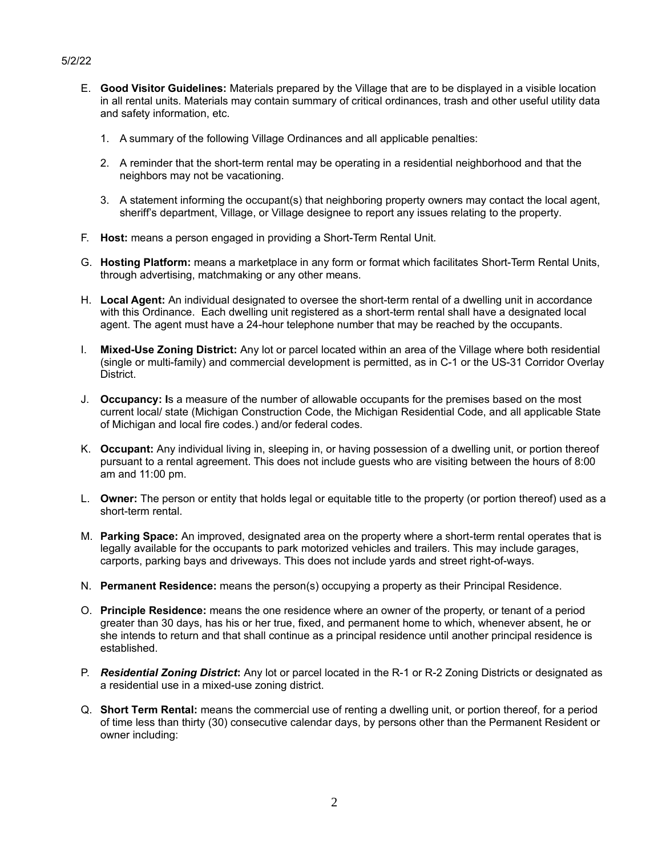## 5/2/22

- E. **Good Visitor Guidelines:** Materials prepared by the Village that are to be displayed in a visible location in all rental units. Materials may contain summary of critical ordinances, trash and other useful utility data and safety information, etc.
	- 1. A summary of the following Village Ordinances and all applicable penalties:
	- 2. A reminder that the short-term rental may be operating in a residential neighborhood and that the neighbors may not be vacationing.
	- 3. A statement informing the occupant(s) that neighboring property owners may contact the local agent, sheriff's department, Village, or Village designee to report any issues relating to the property.
- F. **Host:** means a person engaged in providing a Short-Term Rental Unit.
- G. **Hosting Platform:** means a marketplace in any form or format which facilitates Short-Term Rental Units, through advertising, matchmaking or any other means.
- H. **Local Agent:** An individual designated to oversee the short-term rental of a dwelling unit in accordance with this Ordinance. Each dwelling unit registered as a short-term rental shall have a designated local agent. The agent must have a 24-hour telephone number that may be reached by the occupants.
- I. **Mixed-Use Zoning District:** Any lot or parcel located within an area of the Village where both residential (single or multi-family) and commercial development is permitted, as in C-1 or the US-31 Corridor Overlay District.
- J. **Occupancy: I**s a measure of the number of allowable occupants for the premises based on the most current local/ state (Michigan Construction Code, the Michigan Residential Code, and all applicable State of Michigan and local fire codes.) and/or federal codes.
- K. **Occupant:** Any individual living in, sleeping in, or having possession of a dwelling unit, or portion thereof pursuant to a rental agreement. This does not include guests who are visiting between the hours of 8:00 am and 11:00 pm.
- L. **Owner:** The person or entity that holds legal or equitable title to the property (or portion thereof) used as a short-term rental.
- M. **Parking Space:** An improved, designated area on the property where a short-term rental operates that is legally available for the occupants to park motorized vehicles and trailers. This may include garages, carports, parking bays and driveways. This does not include yards and street right-of-ways.
- N. **Permanent Residence:** means the person(s) occupying a property as their Principal Residence.
- O. **Principle Residence:** means the one residence where an owner of the property, or tenant of a period greater than 30 days, has his or her true, fixed, and permanent home to which, whenever absent, he or she intends to return and that shall continue as a principal residence until another principal residence is established.
- P. *Residential Zoning District***:** Any lot or parcel located in the R-1 or R-2 Zoning Districts or designated as a residential use in a mixed-use zoning district.
- Q. **Short Term Rental:** means the commercial use of renting a dwelling unit, or portion thereof, for a period of time less than thirty (30) consecutive calendar days, by persons other than the Permanent Resident or owner including: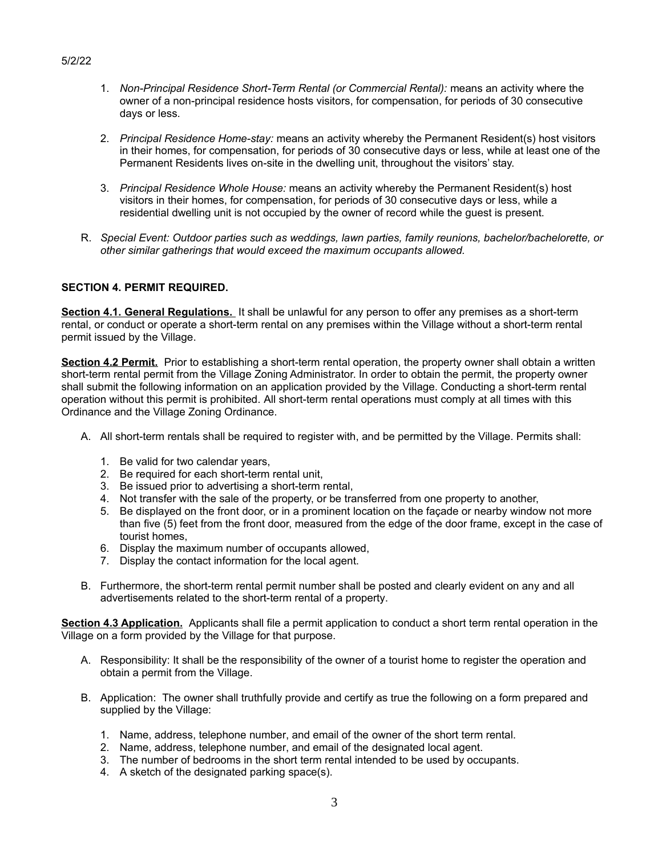- 1. *Non-Principal Residence Short-Term Rental (or Commercial Rental):* means an activity where the owner of a non-principal residence hosts visitors, for compensation, for periods of 30 consecutive days or less.
- 2. *Principal Residence Home-stay:* means an activity whereby the Permanent Resident(s) host visitors in their homes, for compensation, for periods of 30 consecutive days or less, while at least one of the Permanent Residents lives on-site in the dwelling unit, throughout the visitors' stay.
- 3. *Principal Residence Whole House:* means an activity whereby the Permanent Resident(s) host visitors in their homes, for compensation, for periods of 30 consecutive days or less, while a residential dwelling unit is not occupied by the owner of record while the guest is present.
- R. *Special Event: Outdoor parties such as weddings, lawn parties, family reunions, bachelor/bachelorette, or other similar gatherings that would exceed the maximum occupants allowed.*

## **SECTION 4. PERMIT REQUIRED.**

 **Section 4.1. General Regulations.** It shall be unlawful for any person to offer any premises as a short-term rental, or conduct or operate a short-term rental on any premises within the Village without a short-term rental permit issued by the Village.

**Section 4.2 Permit.** Prior to establishing a short-term rental operation, the property owner shall obtain a written short-term rental permit from the Village Zoning Administrator. In order to obtain the permit, the property owner shall submit the following information on an application provided by the Village. Conducting a short-term rental operation without this permit is prohibited. All short-term rental operations must comply at all times with this Ordinance and the Village Zoning Ordinance.

- A. All short-term rentals shall be required to register with, and be permitted by the Village. Permits shall:
	- 1. Be valid for two calendar years,
	- 2. Be required for each short-term rental unit,
	- 3. Be issued prior to advertising a short-term rental,
	- 4. Not transfer with the sale of the property, or be transferred from one property to another,
	- 5. Be displayed on the front door, or in a prominent location on the façade or nearby window not more than five (5) feet from the front door, measured from the edge of the door frame, except in the case of tourist homes,
	- 6. Display the maximum number of occupants allowed,
	- 7. Display the contact information for the local agent.
- B. Furthermore, the short-term rental permit number shall be posted and clearly evident on any and all advertisements related to the short-term rental of a property.

**Section 4.3 Application.** Applicants shall file a permit application to conduct a short term rental operation in the Village on a form provided by the Village for that purpose.

- A. Responsibility: It shall be the responsibility of the owner of a tourist home to register the operation and obtain a permit from the Village.
- B. Application: The owner shall truthfully provide and certify as true the following on a form prepared and supplied by the Village:
	- 1. Name, address, telephone number, and email of the owner of the short term rental.
	- 2. Name, address, telephone number, and email of the designated local agent.
	- 3. The number of bedrooms in the short term rental intended to be used by occupants.
	- 4. A sketch of the designated parking space(s).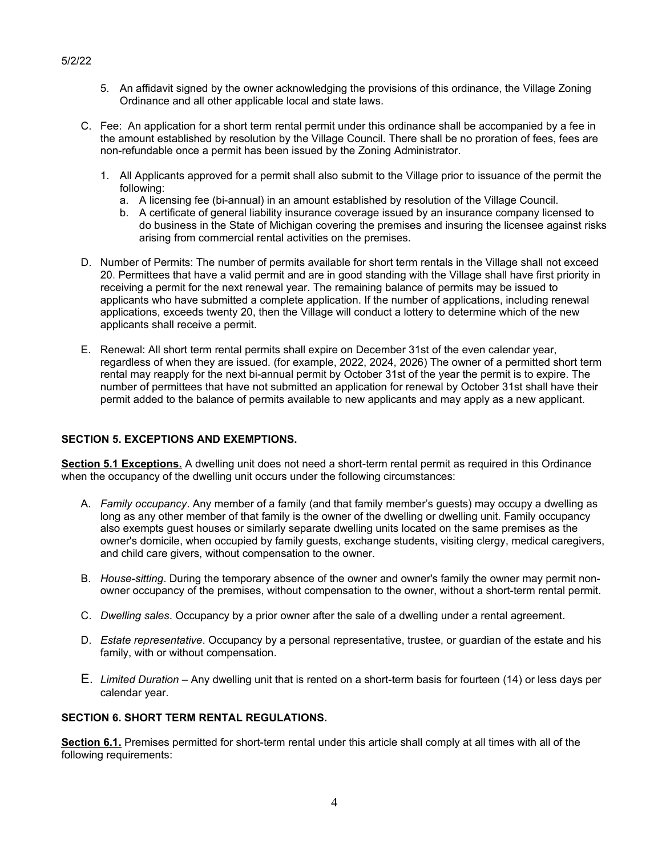- 5. An affidavit signed by the owner acknowledging the provisions of this ordinance, the Village Zoning Ordinance and all other applicable local and state laws.
- C. Fee: An application for a short term rental permit under this ordinance shall be accompanied by a fee in the amount established by resolution by the Village Council. There shall be no proration of fees, fees are non-refundable once a permit has been issued by the Zoning Administrator.
	- 1. All Applicants approved for a permit shall also submit to the Village prior to issuance of the permit the following:
		- a. A licensing fee (bi-annual) in an amount established by resolution of the Village Council.
		- b. A certificate of general liability insurance coverage issued by an insurance company licensed to do business in the State of Michigan covering the premises and insuring the licensee against risks arising from commercial rental activities on the premises.
- D. Number of Permits: The number of permits available for short term rentals in the Village shall not exceed 20. Permittees that have a valid permit and are in good standing with the Village shall have first priority in receiving a permit for the next renewal year. The remaining balance of permits may be issued to applicants who have submitted a complete application. If the number of applications, including renewal applications, exceeds twenty 20, then the Village will conduct a lottery to determine which of the new applicants shall receive a permit.
- E. Renewal: All short term rental permits shall expire on December 31st of the even calendar year, regardless of when they are issued. (for example, 2022, 2024, 2026) The owner of a permitted short term rental may reapply for the next bi-annual permit by October 31st of the year the permit is to expire. The number of permittees that have not submitted an application for renewal by October 31st shall have their permit added to the balance of permits available to new applicants and may apply as a new applicant.

### **SECTION 5. EXCEPTIONS AND EXEMPTIONS.**

**Section 5.1 Exceptions.** A dwelling unit does not need a short-term rental permit as required in this Ordinance when the occupancy of the dwelling unit occurs under the following circumstances:

- A. *Family occupancy*. Any member of a family (and that family member's guests) may occupy a dwelling as long as any other member of that family is the owner of the dwelling or dwelling unit. Family occupancy also exempts guest houses or similarly separate dwelling units located on the same premises as the owner's domicile, when occupied by family guests, exchange students, visiting clergy, medical caregivers, and child care givers, without compensation to the owner.
- B. *House-sitting*. During the temporary absence of the owner and owner's family the owner may permit nonowner occupancy of the premises, without compensation to the owner, without a short-term rental permit.
- C. *Dwelling sales*. Occupancy by a prior owner after the sale of a dwelling under a rental agreement.
- D. *Estate representative*. Occupancy by a personal representative, trustee, or guardian of the estate and his family, with or without compensation.
- E. *Limited Duration* Any dwelling unit that is rented on a short-term basis for fourteen (14) or less days per calendar year.

#### **SECTION 6. SHORT TERM RENTAL REGULATIONS.**

**Section 6.1.** Premises permitted for short-term rental under this article shall comply at all times with all of the following requirements:

### 5/2/22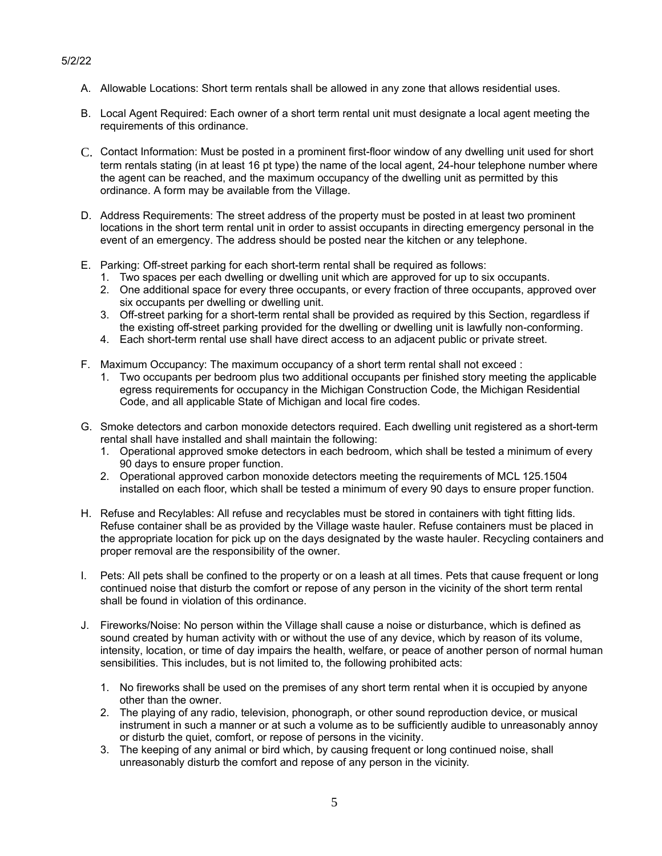- A. Allowable Locations: Short term rentals shall be allowed in any zone that allows residential uses.
- B. Local Agent Required: Each owner of a short term rental unit must designate a local agent meeting the requirements of this ordinance.
- C. Contact Information: Must be posted in a prominent first-floor window of any dwelling unit used for short term rentals stating (in at least 16 pt type) the name of the local agent, 24-hour telephone number where the agent can be reached, and the maximum occupancy of the dwelling unit as permitted by this ordinance. A form may be available from the Village.
- D. Address Requirements: The street address of the property must be posted in at least two prominent locations in the short term rental unit in order to assist occupants in directing emergency personal in the event of an emergency. The address should be posted near the kitchen or any telephone.
- E. Parking: Off-street parking for each short-term rental shall be required as follows:
	- 1. Two spaces per each dwelling or dwelling unit which are approved for up to six occupants.
	- 2. One additional space for every three occupants, or every fraction of three occupants, approved over six occupants per dwelling or dwelling unit.
	- 3. Off-street parking for a short-term rental shall be provided as required by this Section, regardless if the existing off-street parking provided for the dwelling or dwelling unit is lawfully non-conforming.
	- 4. Each short-term rental use shall have direct access to an adjacent public or private street.
- F. Maximum Occupancy: The maximum occupancy of a short term rental shall not exceed :
	- 1. Two occupants per bedroom plus two additional occupants per finished story meeting the applicable egress requirements for occupancy in the Michigan Construction Code, the Michigan Residential Code, and all applicable State of Michigan and local fire codes.
- G. Smoke detectors and carbon monoxide detectors required. Each dwelling unit registered as a short-term rental shall have installed and shall maintain the following:
	- 1. Operational approved smoke detectors in each bedroom, which shall be tested a minimum of every 90 days to ensure proper function.
	- 2. Operational approved carbon monoxide detectors meeting the requirements of MCL 125.1504 installed on each floor, which shall be tested a minimum of every 90 days to ensure proper function.
- H. Refuse and Recylables: All refuse and recyclables must be stored in containers with tight fitting lids. Refuse container shall be as provided by the Village waste hauler. Refuse containers must be placed in the appropriate location for pick up on the days designated by the waste hauler. Recycling containers and proper removal are the responsibility of the owner.
- I. Pets: All pets shall be confined to the property or on a leash at all times. Pets that cause frequent or long continued noise that disturb the comfort or repose of any person in the vicinity of the short term rental shall be found in violation of this ordinance.
- J. Fireworks/Noise: No person within the Village shall cause a noise or disturbance, which is defined as sound created by human activity with or without the use of any device, which by reason of its volume, intensity, location, or time of day impairs the health, welfare, or peace of another person of normal human sensibilities. This includes, but is not limited to, the following prohibited acts:
	- 1. No fireworks shall be used on the premises of any short term rental when it is occupied by anyone other than the owner.
	- 2. The playing of any radio, television, phonograph, or other sound reproduction device, or musical instrument in such a manner or at such a volume as to be sufficiently audible to unreasonably annoy or disturb the quiet, comfort, or repose of persons in the vicinity.
	- 3. The keeping of any animal or bird which, by causing frequent or long continued noise, shall unreasonably disturb the comfort and repose of any person in the vicinity.

### 5/2/22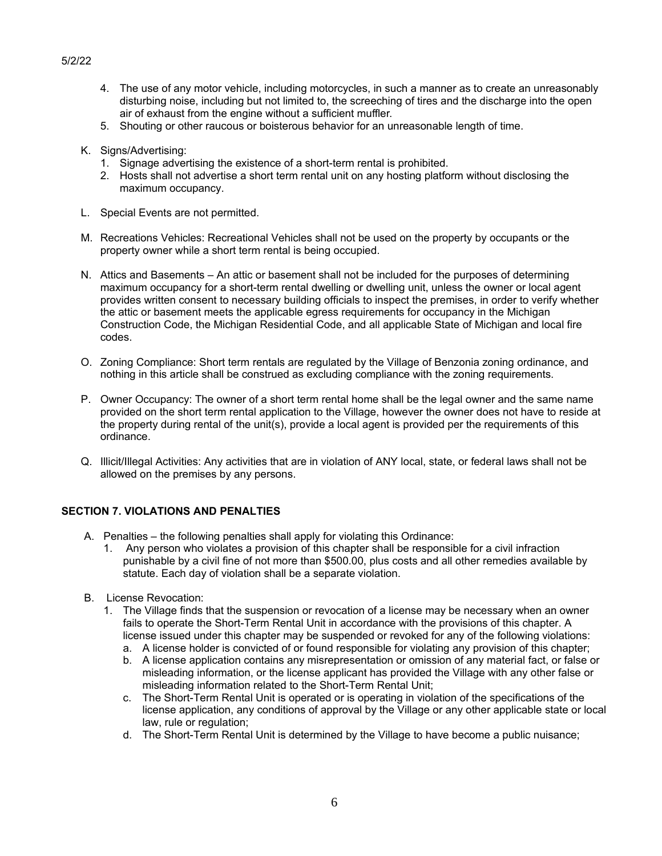## 5/2/22

- 4. The use of any motor vehicle, including motorcycles, in such a manner as to create an unreasonably disturbing noise, including but not limited to, the screeching of tires and the discharge into the open air of exhaust from the engine without a sufficient muffler.
- 5. Shouting or other raucous or boisterous behavior for an unreasonable length of time.
- K. Signs/Advertising:
	- 1. Signage advertising the existence of a short-term rental is prohibited.
	- 2. Hosts shall not advertise a short term rental unit on any hosting platform without disclosing the maximum occupancy.
- L. Special Events are not permitted.
- M. Recreations Vehicles: Recreational Vehicles shall not be used on the property by occupants or the property owner while a short term rental is being occupied.
- N. Attics and Basements An attic or basement shall not be included for the purposes of determining maximum occupancy for a short-term rental dwelling or dwelling unit, unless the owner or local agent provides written consent to necessary building officials to inspect the premises, in order to verify whether the attic or basement meets the applicable egress requirements for occupancy in the Michigan Construction Code, the Michigan Residential Code, and all applicable State of Michigan and local fire codes.
- O. Zoning Compliance: Short term rentals are regulated by the Village of Benzonia zoning ordinance, and nothing in this article shall be construed as excluding compliance with the zoning requirements.
- P. Owner Occupancy: The owner of a short term rental home shall be the legal owner and the same name provided on the short term rental application to the Village, however the owner does not have to reside at the property during rental of the unit(s), provide a local agent is provided per the requirements of this ordinance.
- Q. Illicit/Illegal Activities: Any activities that are in violation of ANY local, state, or federal laws shall not be allowed on the premises by any persons.

## **SECTION 7. VIOLATIONS AND PENALTIES**

- A. Penalties the following penalties shall apply for violating this Ordinance:
	- 1. Any person who violates a provision of this chapter shall be responsible for a civil infraction punishable by a civil fine of not more than \$500.00, plus costs and all other remedies available by statute. Each day of violation shall be a separate violation.
- B. License Revocation:
	- 1. The Village finds that the suspension or revocation of a license may be necessary when an owner fails to operate the Short-Term Rental Unit in accordance with the provisions of this chapter. A license issued under this chapter may be suspended or revoked for any of the following violations:
		- a. A license holder is convicted of or found responsible for violating any provision of this chapter;
		- b. A license application contains any misrepresentation or omission of any material fact, or false or misleading information, or the license applicant has provided the Village with any other false or misleading information related to the Short-Term Rental Unit;
		- c. The Short-Term Rental Unit is operated or is operating in violation of the specifications of the license application, any conditions of approval by the Village or any other applicable state or local law, rule or regulation;
		- d. The Short-Term Rental Unit is determined by the Village to have become a public nuisance;